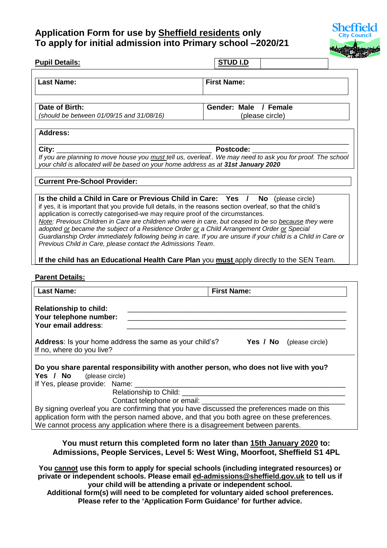## **Application Form for use by Sheffield residents only To apply for initial admission into Primary school –2020/21**



| <b>Pupil Details:</b>                                                                                                                                                                                                                                                                                                                                                                                                                                                                                                                                                                                                                                                                                                                                                        | <b>STUD I.D</b>                                                                                                      |
|------------------------------------------------------------------------------------------------------------------------------------------------------------------------------------------------------------------------------------------------------------------------------------------------------------------------------------------------------------------------------------------------------------------------------------------------------------------------------------------------------------------------------------------------------------------------------------------------------------------------------------------------------------------------------------------------------------------------------------------------------------------------------|----------------------------------------------------------------------------------------------------------------------|
| <b>Last Name:</b>                                                                                                                                                                                                                                                                                                                                                                                                                                                                                                                                                                                                                                                                                                                                                            | <b>First Name:</b>                                                                                                   |
| Date of Birth:<br>(should be between 01/09/15 and 31/08/16)                                                                                                                                                                                                                                                                                                                                                                                                                                                                                                                                                                                                                                                                                                                  | Gender: Male / Female<br>(please circle)                                                                             |
| <b>Address:</b>                                                                                                                                                                                                                                                                                                                                                                                                                                                                                                                                                                                                                                                                                                                                                              |                                                                                                                      |
| City:<br>If you are planning to move house you must tell us, overleaf We may need to ask you for proof. The school<br>your child is allocated will be based on your home address as at 31st January 2020                                                                                                                                                                                                                                                                                                                                                                                                                                                                                                                                                                     | Postcode:                                                                                                            |
| <b>Current Pre-School Provider:</b>                                                                                                                                                                                                                                                                                                                                                                                                                                                                                                                                                                                                                                                                                                                                          |                                                                                                                      |
| Is the child a Child in Care or Previous Child in Care: Yes /<br>if yes, it is important that you provide full details, in the reasons section overleaf, so that the child's<br>application is correctly categorised-we may require proof of the circumstances.<br>Note: Previous Children in Care are children who were in care, but ceased to be so because they were<br>adopted or became the subject of a Residence Order or a Child Arrangement Order or Special<br>Guardianship Order immediately following being in care. If you are unsure if your child is a Child in Care or<br>Previous Child in Care, please contact the Admissions Team.<br>If the child has an Educational Health Care Plan you must apply directly to the SEN Team.<br><b>Parent Details:</b> | No<br>(please circle)                                                                                                |
| <b>Last Name:</b>                                                                                                                                                                                                                                                                                                                                                                                                                                                                                                                                                                                                                                                                                                                                                            | <b>First Name:</b>                                                                                                   |
| <b>Relationship to child:</b><br>Your telephone number:<br>Your email address:<br><b>Address:</b> Is your home address the same as your child's? <b>Yes / No</b> (please circle)<br>If no, where do you live?                                                                                                                                                                                                                                                                                                                                                                                                                                                                                                                                                                |                                                                                                                      |
| Do you share parental responsibility with another person, who does not live with you?<br>Yes / No<br>(please circle)<br>If Yes, please provide: Name: _<br>Contact telephone or email:<br>By signing overleaf you are confirming that you have discussed the preferences made on this<br>application form with the person named above, and that you both agree on these preferences.<br>We cannot process any application where there is a disagreement between parents.                                                                                                                                                                                                                                                                                                     | <u> 2000 - Jan James James James James James James James James James James James James James James James James J</u> |
| You must return this completed form no later than 15th January 2020 to:<br>Admissions, People Services, Level 5: West Wing, Moorfoot, Sheffield S1 4PL                                                                                                                                                                                                                                                                                                                                                                                                                                                                                                                                                                                                                       |                                                                                                                      |

**Additional form(s) will need to be completed for voluntary aided school preferences. Please refer to the 'Application Form Guidance' for further advice.**